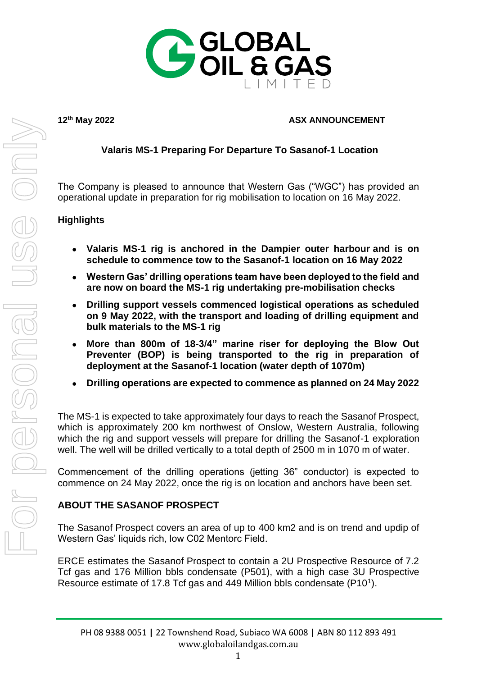

### **12th May 2022 ASX ANNOUNCEMENT**

# **Valaris MS-1 Preparing For Departure To Sasanof-1 Location**

The Company is pleased to announce that Western Gas ("WGC") has provided an operational update in preparation for rig mobilisation to location on 16 May 2022.

### **Highlights**

- **Valaris MS-1 rig is anchored in the Dampier outer harbour and is on schedule to commence tow to the Sasanof-1 location on 16 May 2022**
- **Western Gas' drilling operations team have been deployed to the field and are now on board the MS-1 rig undertaking pre-mobilisation checks**
- **Drilling support vessels commenced logistical operations as scheduled on 9 May 2022, with the transport and loading of drilling equipment and bulk materials to the MS-1 rig**
- **More than 800m of 18-3/4" marine riser for deploying the Blow Out Preventer (BOP) is being transported to the rig in preparation of deployment at the Sasanof-1 location (water depth of 1070m)**
- **Drilling operations are expected to commence as planned on 24 May 2022**

The MS-1 is expected to take approximately four days to reach the Sasanof Prospect, which is approximately 200 km northwest of Onslow, Western Australia, following which the rig and support vessels will prepare for drilling the Sasanof-1 exploration well. The well will be drilled vertically to a total depth of 2500 m in 1070 m of water.

Commencement of the drilling operations (jetting 36" conductor) is expected to commence on 24 May 2022, once the rig is on location and anchors have been set.

# **ABOUT THE SASANOF PROSPECT**

The Sasanof Prospect covers an area of up to 400 km2 and is on trend and updip of Western Gas' liquids rich, low C02 Mentorc Field.

ERCE estimates the Sasanof Prospect to contain a 2U Prospective Resource of 7.2 Tcf gas and 176 Million bbls condensate (P501), with a high case 3U Prospective Resource estimate of 17.8 Tcf gas and 449 Million bbls condensate (P10<sup>1</sup>).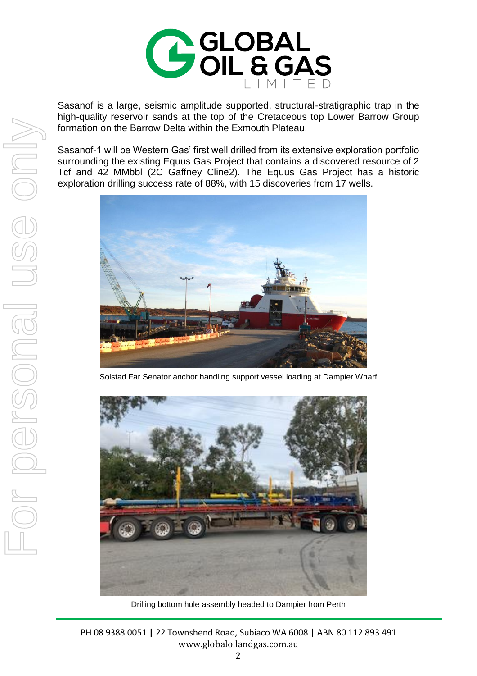

Sasanof is a large, seismic amplitude supported, structural-stratigraphic trap in the high-quality reservoir sands at the top of the Cretaceous top Lower Barrow Group formation on the Barrow Delta within the Exmouth Plateau.

Sasanof-1 will be Western Gas' first well drilled from its extensive exploration portfolio surrounding the existing Equus Gas Project that contains a discovered resource of 2 Tcf and 42 MMbbl (2C Gaffney Cline2). The Equus Gas Project has a historic exploration drilling success rate of 88%, with 15 discoveries from 17 wells.



Solstad Far Senator anchor handling support vessel loading at Dampier Wharf



Drilling bottom hole assembly headed to Dampier from Perth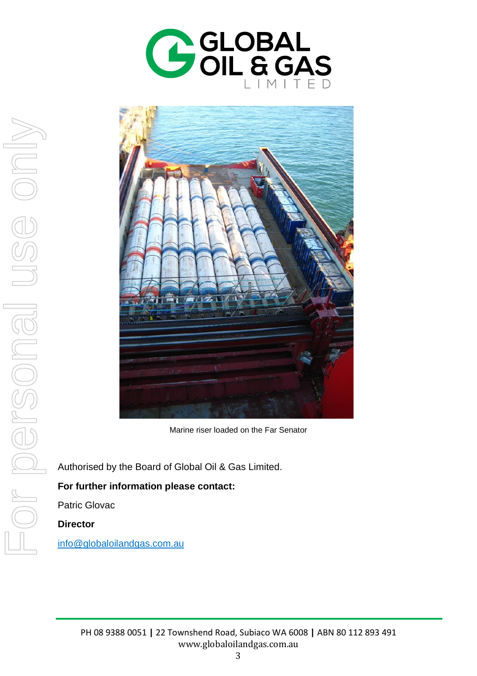



Marine riser loaded on the Far Senator

Authorised by the Board of Global Oil & Gas Limited.

### **For further information please contact:**

Patric Glovac

**Director**

[info@globaloilandgas.com.au](mailto:info@globaloilandgas.com.au)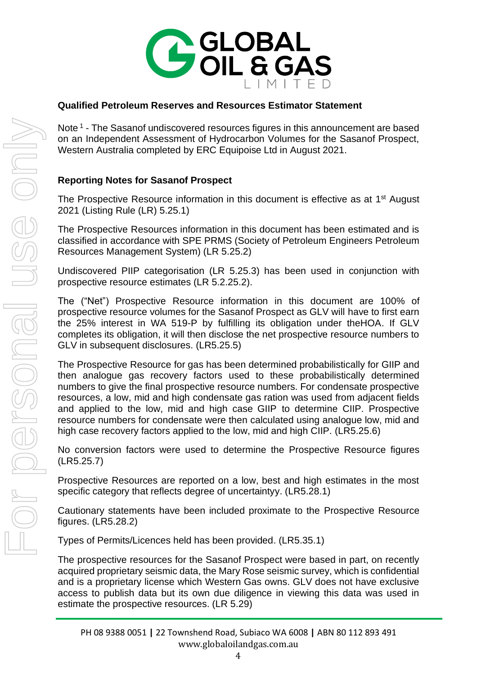

# **Qualified Petroleum Reserves and Resources Estimator Statement**

Note<sup>1</sup> - The Sasanof undiscovered resources figures in this announcement are based on an Independent Assessment of Hydrocarbon Volumes for the Sasanof Prospect, Western Australia completed by ERC Equipoise Ltd in August 2021.

# **Reporting Notes for Sasanof Prospect**

The Prospective Resource information in this document is effective as at 1<sup>st</sup> August 2021 (Listing Rule (LR) 5.25.1)

The Prospective Resources information in this document has been estimated and is classified in accordance with SPE PRMS (Society of Petroleum Engineers Petroleum Resources Management System) (LR 5.25.2)

Undiscovered PIIP categorisation (LR 5.25.3) has been used in conjunction with prospective resource estimates (LR 5.2.25.2).

The ("Net") Prospective Resource information in this document are 100% of prospective resource volumes for the Sasanof Prospect as GLV will have to first earn the 25% interest in WA 519-P by fulfilling its obligation under theHOA. If GLV completes its obligation, it will then disclose the net prospective resource numbers to GLV in subsequent disclosures. (LR5.25.5)

The Prospective Resource for gas has been determined probabilistically for GIIP and then analogue gas recovery factors used to these probabilistically determined numbers to give the final prospective resource numbers. For condensate prospective resources, a low, mid and high condensate gas ration was used from adjacent fields and applied to the low, mid and high case GIIP to determine CIIP. Prospective resource numbers for condensate were then calculated using analogue low, mid and high case recovery factors applied to the low, mid and high CIIP. (LR5.25.6)

No conversion factors were used to determine the Prospective Resource figures (LR5.25.7)

Prospective Resources are reported on a low, best and high estimates in the most specific category that reflects degree of uncertaintyy. (LR5.28.1)

Cautionary statements have been included proximate to the Prospective Resource figures. (LR5.28.2)

Types of Permits/Licences held has been provided. (LR5.35.1)

The prospective resources for the Sasanof Prospect were based in part, on recently acquired proprietary seismic data, the Mary Rose seismic survey, which is confidential and is a proprietary license which Western Gas owns. GLV does not have exclusive access to publish data but its own due diligence in viewing this data was used in estimate the prospective resources. (LR 5.29)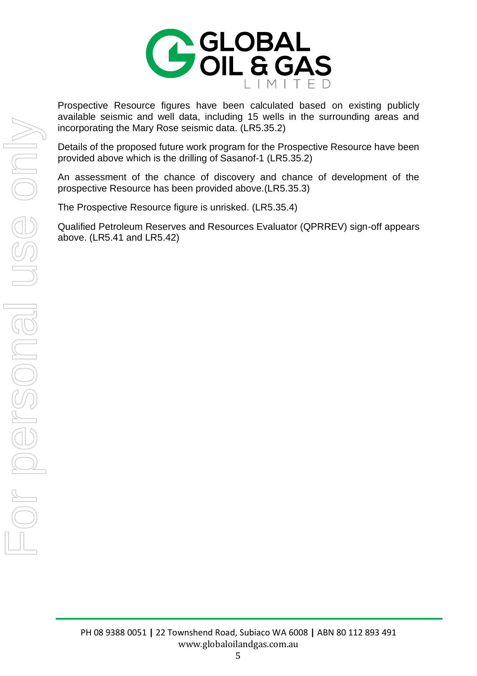

Prospective Resource figures have been calculated based on existing publicly available seismic and well data, including 15 wells in the surrounding areas and incorporating the Mary Rose seismic data. (LR5.35.2)

Details of the proposed future work program for the Prospective Resource have been provided above which is the drilling of Sasanof-1 (LR5.35.2)

An assessment of the chance of discovery and chance of development of the prospective Resource has been provided above.(LR5.35.3)

The Prospective Resource figure is unrisked. (LR5.35.4)

Qualified Petroleum Reserves and Resources Evaluator (QPRREV) sign-off appears above. (LR5.41 and LR5.42)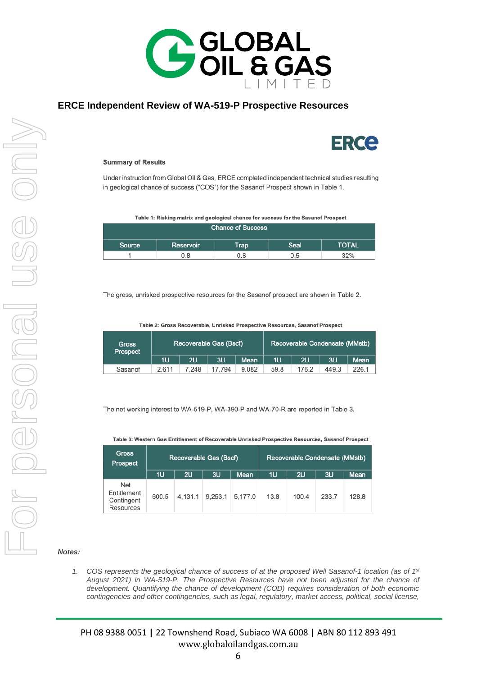

#### **ERCE Independent Review of WA-519-P Prospective Resources**



#### **Summary of Results**

Under instruction from Global Oil & Gas, ERCE completed independent technical studies resulting in geological chance of success ("COS") for the Sasanof Prospect shown in Table 1.

Table 1: Risking matrix and geological chance for success for the Sasanof Prospect

| <b>Chance of Success</b> |           |             |      |              |  |  |  |
|--------------------------|-----------|-------------|------|--------------|--|--|--|
| Source                   | Reservoir | <b>Trap</b> | Seal | <b>TOTAL</b> |  |  |  |
|                          | ა.8       | 3.G         | 0.5  | 32%          |  |  |  |

The gross, unrisked prospective resources for the Sasanof prospect are shown in Table 2.

| Gross<br>Prospect | Recoverable Gas (Bscf) |       |        | Recoverable Condensate (MMstb) |      |       |       |       |
|-------------------|------------------------|-------|--------|--------------------------------|------|-------|-------|-------|
|                   | 1U                     | 2U    | 3U     | Mean                           | 1U   | 2U    | 3U    | Mean  |
| Sasanof           | 2.611                  | 7.248 | 17.794 | 9,082                          | 59.8 | 176.2 | 449.3 | 226.1 |

The net working interest to WA-519-P, WA-390-P and WA-70-R are reported in Table 3.

Table 3: Western Gas Entitlement of Recoverable Unrisked Prospective Resources, Sasanof Prospect

| <b>Gross</b><br>Prospect                             | Recoverable Gas (Bscf) |         |         | Recoverable Condensate (MMstb) |      |       |       |       |
|------------------------------------------------------|------------------------|---------|---------|--------------------------------|------|-------|-------|-------|
|                                                      | 1U                     | 2U      | 3U      | Mean                           | 1U   | 2U    | 3U    | Mean  |
| Net<br>Entitlement<br>Contingent<br><b>Resources</b> | 600.5                  | 4.131.1 | 9.253.1 | 5.177.0                        | 13.8 | 100.4 | 233.7 | 128.8 |

#### *Notes:*

*1. COS represents the geological chance of success of at the proposed Well Sasanof-1 location (as of 1st August 2021) in WA-519-P. The Prospective Resources have not been adjusted for the chance of development. Quantifying the chance of development (COD) requires consideration of both economic contingencies and other contingencies, such as legal, regulatory, market access, political, social license,*

PH 08 9388 0051 **|** 22 Townshend Road, Subiaco WA 6008 **|** ABN 80 112 893 491 www.globaloilandgas.com.au